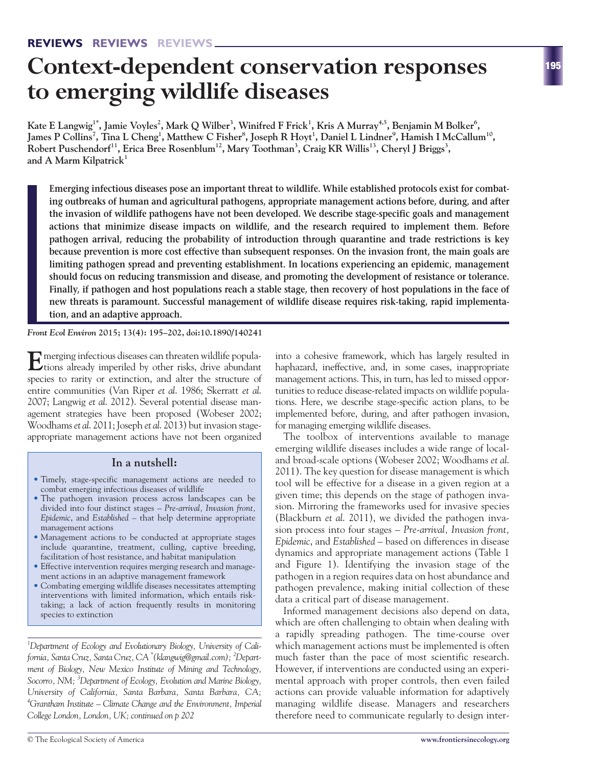# **Context-dependent conservation responses to emerging wildlife diseases**

Kate E Langwig<sup>1\*</sup>, Jamie Voyles<sup>2</sup>, Mark Q Wilber<sup>3</sup>, Winifred F Frick<sup>1</sup>, Kris A Murray<sup>4,5</sup>, Benjamin M Bolker<sup>6</sup>, <code>James P Collins $^7$ , Tina L Cheng $^1$ , Matthew C Fisher $^8$ , Joseph R Hoyt $^1$ , Daniel L Lindner $^9$ , Hamish I McCallum $^{10}$ ,</code>  $R$ obert Puschendorf $^{11}$ , Erica Bree  $R$ osenblum $^{12}$ , Mary Toothman $^3$ , Craig KR Willis $^{13}$ , Cheryl J Briggs $^3$ , and A Marm Kilpatrick<sup>1</sup>

**Emerging infectious diseases pose an important threat to wildlife. While established protocols exist for combating outbreaks of human and agricultural pathogens, appropriate management actions before, during, and after the invasion of wildlife pathogens have not been developed. We describe stage-specific goals and management actions that minimize disease impacts on wildlife, and the research required to implement them. Before pathogen arrival, reducing the probability of introduction through quarantine and trade restrictions is key because prevention is more cost effective than subsequent responses. On the invasion front, the main goals are limiting pathogen spread and preventing establishment. In locations experiencing an epidemic, management should focus on reducing transmission and disease, and promoting the development of resistance or tolerance. Finally, if pathogen and host populations reach a stable stage, then recovery of host populations in the face of new threats is paramount. Successful management of wildlife disease requires risk-taking, rapid implementation, and an adaptive approach.** 

*Front Ecol Environ* **2015; 13(4): 195–202, doi:10.1890/140241**

**E**merging infectious diseases can threaten wildlife popula-tions already imperiled by other risks, drive abundant species to rarity or extinction, and alter the structure of entire communities (Van Riper *et al*. 1986; Skerratt *et al*. 2007; Langwig *et al*. 2012). Several potential disease management strategies have been proposed (Wobeser 2002; Woodhams *et al*. 2011; Joseph *et al*. 2013) but invasion stageappropriate management actions have not been organized

# **In a nutshell:**

- Timely, stage-specific management actions are needed to combat emerging infectious diseases of wildlife
- The pathogen invasion process across landscapes can be divided into four distinct stages – *Pre-arrival, Invasion front, Epidemic*, and *Established* – that help determine appropriate management actions
- Management actions to be conducted at appropriate stages include quarantine, treatment, culling, captive breeding, facilitation of host resistance, and habitat manipulation
- Effective intervention requires merging research and management actions in an adaptive management framework
- Combating emerging wildlife diseases necessitates attempting interventions with limited information, which entails risktaking; a lack of action frequently results in monitoring species to extinction

*1 Department of Ecology and Evolutionary Biology, University of California, Santa Cruz, Santa Cruz, CA \* (klangwig@gmail.com); 2 Department of Biology, New Mexico Institute of Mining and Technology, Socorro, NM; <sup>3</sup> Department of Ecology, Evolution and Marine Biology, University of California, Santa Barbara, Santa Barbara, CA; 4 Grantham Institute – Climate Change and the Environment, Imperial College London, London, UK; continued on p 202*

into a cohesive framework, which has largely resulted in haphazard, ineffective, and, in some cases, inappropriate management actions. This, in turn, has led to missed opportunities to reduce disease-related impacts on wildlife populations. Here, we describe stage-specific action plans, to be implemented before, during, and after pathogen invasion, for managing emerging wildlife diseases.

The toolbox of interventions available to manage emerging wildlife diseases includes a wide range of localand broad-scale options (Wobeser 2002; Woodhams *et al*. 2011). The key question for disease management is which tool will be effective for a disease in a given region at a given time; this depends on the stage of pathogen invasion. Mirroring the frameworks used for invasive species (Blackburn *et al*. 2011), we divided the pathogen invasion process into four stages – *Pre-arrival, Invasion front, Epidemic*, and *Established* – based on differences in disease dynamics and appropriate management actions (Table 1 and Figure 1). Identifying the invasion stage of the pathogen in a region requires data on host abundance and pathogen prevalence, making initial collection of these data a critical part of disease management.

Informed management decisions also depend on data, which are often challenging to obtain when dealing with a rapidly spreading pathogen. The time-course over which management actions must be implemented is often much faster than the pace of most scientific research. However, if interventions are conducted using an experimental approach with proper controls, then even failed actions can provide valuable information for adaptively managing wildlife disease. Managers and researchers therefore need to communicate regularly to design inter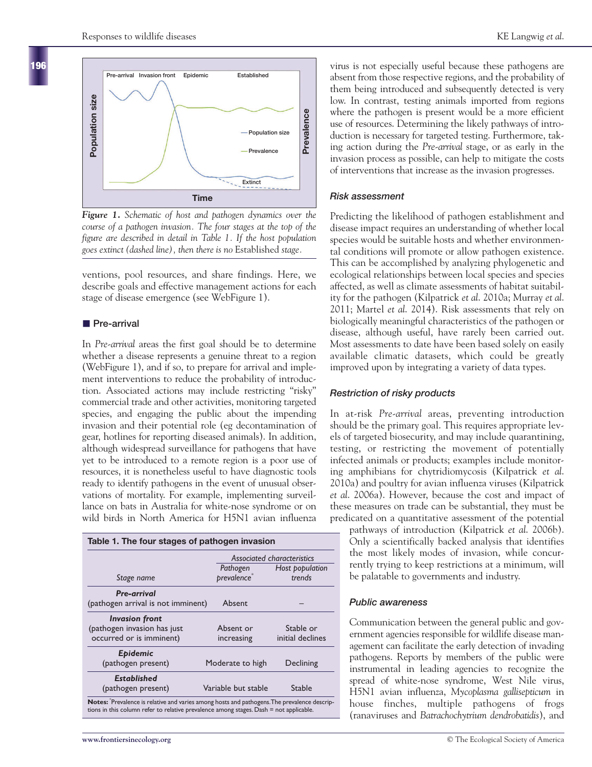**196**



*Figure 1. Schematic of host and pathogen dynamics over the course of a pathogen invasion. The four stages at the top of the figure are described in detail in Table 1. If the host population goes extinct (dashed line), then there is no* Established *stage.*

ventions, pool resources, and share findings. Here, we describe goals and effective management actions for each stage of disease emergence (see WebFigure 1).

#### **n** Pre-arrival

In *Pre-arrival* areas the first goal should be to determine whether a disease represents a genuine threat to a region (WebFigure 1), and if so, to prepare for arrival and implement interventions to reduce the probability of introduction. Associated actions may include restricting "risky" commercial trade and other activities, monitoring targeted species, and engaging the public about the impending invasion and their potential role (eg decontamination of gear, hotlines for reporting diseased animals). In addition, although widespread surveillance for pathogens that have yet to be introduced to a remote region is a poor use of resources, it is nonetheless useful to have diagnostic tools ready to identify pathogens in the event of unusual observations of mortality. For example, implementing surveillance on bats in Australia for white-nose syndrome or on wild birds in North America for H5N1 avian influenza

| Table 1. The four stages of pathogen invasion                                                                                                                                         |                                      |                               |  |
|---------------------------------------------------------------------------------------------------------------------------------------------------------------------------------------|--------------------------------------|-------------------------------|--|
|                                                                                                                                                                                       |                                      | Associated characteristics    |  |
| Stage name                                                                                                                                                                            | Pathogen<br><i><b>prevalence</b></i> | Host population<br>trends     |  |
| Pre-arrival                                                                                                                                                                           |                                      |                               |  |
| (pathogen arrival is not imminent)                                                                                                                                                    | Absent                               |                               |  |
| <b>Invasion front</b>                                                                                                                                                                 |                                      |                               |  |
| (pathogen invasion has just<br>occurred or is imminent)                                                                                                                               | Absent or<br>increasing              | Stable or<br>initial declines |  |
| Epidemic                                                                                                                                                                              |                                      |                               |  |
| (pathogen present)                                                                                                                                                                    | Moderate to high                     | Declining                     |  |
| <b>Established</b>                                                                                                                                                                    |                                      |                               |  |
| (pathogen present)                                                                                                                                                                    | Variable but stable                  | Stable                        |  |
| Notes: Prevalence is relative and varies among hosts and pathogens. The prevalence descrip-<br>tions in this column refer to relative prevalence among stages. Dash = not applicable. |                                      |                               |  |

virus is not especially useful because these pathogens are absent from those respective regions, and the probability of them being introduced and subsequently detected is very low. In contrast, testing animals imported from regions where the pathogen is present would be a more efficient use of resources. Determining the likely pathways of introduction is necessary for targeted testing. Furthermore, taking action during the *Pre-arrival* stage, or as early in the invasion process as possible, can help to mitigate the costs of interventions that increase as the invasion progresses.

#### *Risk assessment*

Predicting the likelihood of pathogen establishment and disease impact requires an understanding of whether local species would be suitable hosts and whether environmental conditions will promote or allow pathogen existence. This can be accomplished by analyzing phylogenetic and ecological relationships between local species and species affected, as well as climate assessments of habitat suitability for the pathogen (Kilpatrick *et al*. 2010a; Murray *et al*. 2011; Martel *et al*. 2014). Risk assessments that rely on biologically meaningful characteristics of the pathogen or disease, although useful, have rarely been carried out. Most assessments to date have been based solely on easily available climatic datasets, which could be greatly improved upon by integrating a variety of data types.

#### *Restriction of risky products*

In at-risk *Pre-arrival* areas, preventing introduction should be the primary goal. This requires appropriate levels of targeted biosecurity, and may include quarantining, testing, or restricting the movement of potentially infected animals or products; examples include monitoring amphibians for chytridiomycosis (Kilpatrick *et al*. 2010a) and poultry for avian influenza viruses (Kilpatrick *et al*. 2006a). However, because the cost and impact of these measures on trade can be substantial, they must be predicated on a quantitative assessment of the potential

pathways of introduction (Kilpatrick *et al*. 2006b). Only a scientifically backed analysis that identifies the most likely modes of invasion, while concurrently trying to keep restrictions at a minimum, will be palatable to governments and industry.

#### *Public awareness*

Communication between the general public and government agencies responsible for wildlife disease management can facilitate the early detection of invading pathogens. Reports by members of the public were instrumental in leading agencies to recognize the spread of white-nose syndrome, West Nile virus, H5N1 avian influenza, *Mycoplasma gallisepticum* in house finches, multiple pathogens of frogs (ranaviruses and *Batrachochytrium dendrobatidis*), and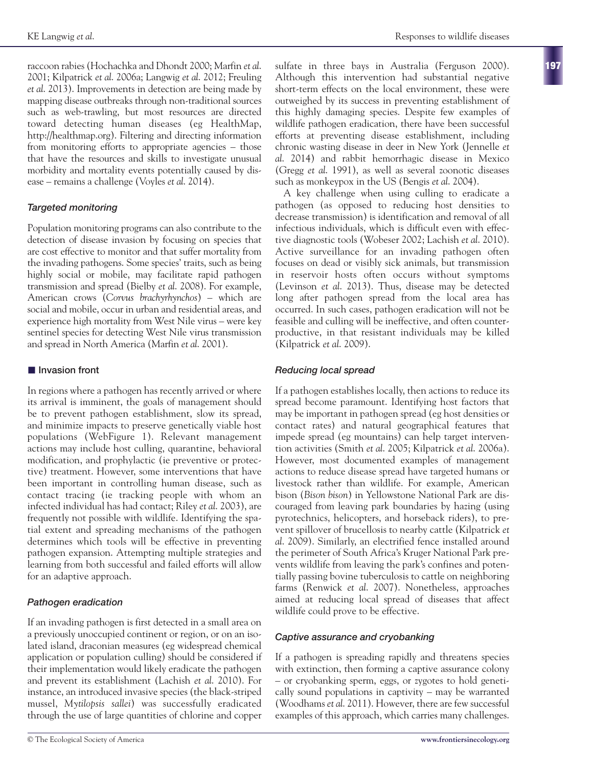raccoon rabies (Hochachka and Dhondt 2000; Marfin *et al*. 2001; Kilpatrick *et al*. 2006a; Langwig *et al*. 2012; Freuling *et al*. 2013). Improvements in detection are being made by mapping disease outbreaks through non-traditional sources such as web-trawling, but most resources are directed toward detecting human diseases (eg HealthMap, http://healthmap.org). Filtering and directing information from monitoring efforts to appropriate agencies – those that have the resources and skills to investigate unusual morbidity and mortality events potentially caused by disease – remains a challenge (Voyles *et al*. 2014).

## *Targeted monitoring*

Population monitoring programs can also contribute to the detection of disease invasion by focusing on species that are cost effective to monitor and that suffer mortality from the invading pathogens. Some species' traits, such as being highly social or mobile, may facilitate rapid pathogen transmission and spread (Bielby *et al*. 2008). For example, American crows (*Corvus brachyrhynchos*) – which are social and mobile, occur in urban and residential areas, and experience high mortality from West Nile virus – were key sentinel species for detecting West Nile virus transmission and spread in North America (Marfin *et al*. 2001).

## **n** Invasion front

In regions where a pathogen has recently arrived or where its arrival is imminent, the goals of management should be to prevent pathogen establishment, slow its spread, and minimize impacts to preserve genetically viable host populations (WebFigure 1). Relevant management actions may include host culling, quarantine, behavioral modification, and prophylactic (ie preventive or protective) treatment. However, some interventions that have been important in controlling human disease, such as contact tracing (ie tracking people with whom an infected individual has had contact; Riley *et al*. 2003), are frequently not possible with wildlife. Identifying the spatial extent and spreading mechanisms of the pathogen determines which tools will be effective in preventing pathogen expansion. Attempting multiple strategies and learning from both successful and failed efforts will allow for an adaptive approach.

# *Pathogen eradication*

If an invading pathogen is first detected in a small area on a previously unoccupied continent or region, or on an isolated island, draconian measures (eg widespread chemical application or population culling) should be considered if their implementation would likely eradicate the pathogen and prevent its establishment (Lachish *et al*. 2010). For instance, an introduced invasive species (the black-striped mussel, *Mytilopsis sallei*) was successfully eradicated through the use of large quantities of chlorine and copper

sulfate in three bays in Australia (Ferguson 2000). Although this intervention had substantial negative short-term effects on the local environment, these were outweighed by its success in preventing establishment of this highly damaging species. Despite few examples of wildlife pathogen eradication, there have been successful efforts at preventing disease establishment, including chronic wasting disease in deer in New York (Jennelle *et al*. 2014) and rabbit hemorrhagic disease in Mexico (Gregg *et al*. 1991), as well as several zoonotic diseases such as monkeypox in the US (Bengis *et al*. 2004).

A key challenge when using culling to eradicate a pathogen (as opposed to reducing host densities to decrease transmission) is identification and removal of all infectious individuals, which is difficult even with effective diagnostic tools (Wobeser 2002; Lachish *et al*. 2010). Active surveillance for an invading pathogen often focuses on dead or visibly sick animals, but transmission in reservoir hosts often occurs without symptoms (Levinson *et al*. 2013). Thus, disease may be detected long after pathogen spread from the local area has occurred. In such cases, pathogen eradication will not be feasible and culling will be ineffective, and often counterproductive, in that resistant individuals may be killed (Kilpatrick *et al*. 2009).

## *Reducing local spread*

If a pathogen establishes locally, then actions to reduce its spread become paramount. Identifying host factors that may be important in pathogen spread (eg host densities or contact rates) and natural geographical features that impede spread (eg mountains) can help target intervention activities (Smith *et al*. 2005; Kilpatrick *et al*. 2006a). However, most documented examples of management actions to reduce disease spread have targeted humans or livestock rather than wildlife. For example, American bison (*Bison bison*) in Yellowstone National Park are discouraged from leaving park boundaries by hazing (using pyrotechnics, helicopters, and horseback riders), to prevent spillover of brucellosis to nearby cattle (Kilpatrick *et al*. 2009). Similarly, an electrified fence installed around the perimeter of South Africa's Kruger National Park prevents wildlife from leaving the park's confines and potentially passing bovine tuberculosis to cattle on neighboring farms (Renwick *et al*. 2007). Nonetheless, approaches aimed at reducing local spread of diseases that affect wildlife could prove to be effective.

## *Captive assurance and cryobanking*

If a pathogen is spreading rapidly and threatens species with extinction, then forming a captive assurance colony – or cryobanking sperm, eggs, or zygotes to hold genetically sound populations in captivity – may be warranted (Woodhams *et al*. 2011). However, there are few successful examples of this approach, which carries many challenges.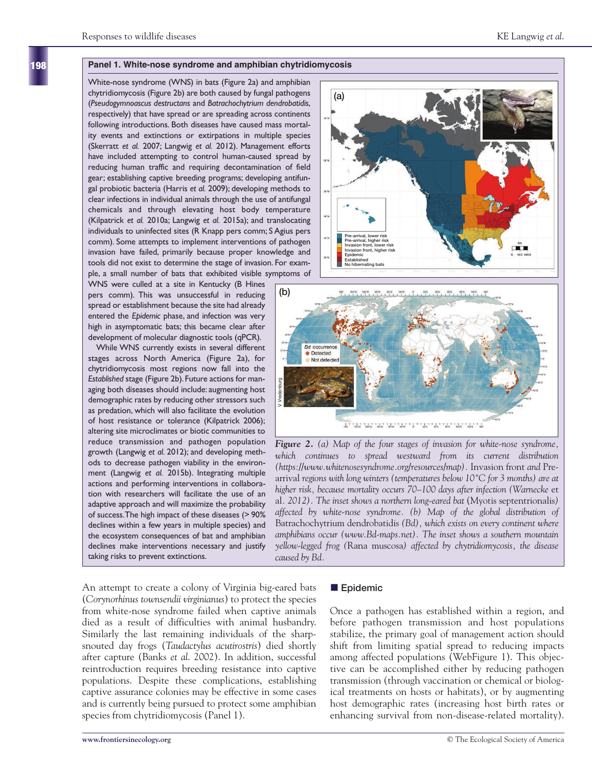#### **Panel 1. White-nose syndrome and amphibian chytridiomycosis**

White-nose syndrome (WNS) in bats (Figure 2a) and amphibian chytridiomycosis (Figure 2b) are both caused by fungal pathogens (*Pseudogymnoascus destructans* and *Batrachochytrium dendrobatidis*, respectively) that have spread or are spreading across continents following introductions. Both diseases have caused mass mortality events and extinctions or extirpations in multiple species (Skerratt *et al.* 2007; Langwig *et al.* 2012). Management efforts have included attempting to control human-caused spread by reducing human traffic and requiring decontamination of field gear; establishing captive breeding programs; developing antifungal probiotic bacteria (Harris *et al.* 2009); developing methods to clear infections in individual animals through the use of antifungal chemicals and through elevating host body temperature (Kilpatrick *et al.* 2010a; Langwig *et al.* 2015a); and translocating individuals to uninfected sites (R Knapp pers comm; S Agius pers comm). Some attempts to implement interventions of pathogen invasion have failed, primarily because proper knowledge and tools did not exist to determine the stage of invasion. For example, a small number of bats that exhibited visible symptoms of

WNS were culled at a site in Kentucky (B Hines pers comm). This was unsuccessful in reducing spread or establishment because the site had already entered the *Epidemic* phase, and infection was very high in asymptomatic bats; this became clear after development of molecular diagnostic tools (qPCR).

While WNS currently exists in several different stages across North America (Figure 2a), for chytridiomycosis most regions now fall into the *Established* stage (Figure 2b). Future actions for managing both diseases should include: augmenting host demographic rates by reducing other stressors such as predation, which will also facilitate the evolution of host resistance or tolerance (Kilpatrick 2006); altering site microclimates or biotic communities to reduce transmission and pathogen population growth (Langwig *et al*. 2012); and developing methods to decrease pathogen viability in the environment (Langwig *et al.* 2015b). Integrating multiple actions and performing interventions in collaboration with researchers will facilitate the use of an adaptive approach and will maximize the probability of success. The high impact of these diseases (> 90% declines within a few years in multiple species) and the ecosystem consequences of bat and amphibian declines make interventions necessary and justify taking risks to prevent extinctions.





*Figure 2. (a) Map of the four stages of invasion for white-nose syndrome, which continues to spread westward from its current distribution (https://www.whitenosesyndrome.org/resources/map).* Invasion front *and* Prearrival *regions with long winters (temperatures below 10˚C for 3 months) are at higher risk, because mortality occurs 70–100 days after infection (Warnecke* et al*. 2012). The inset shows a northern long-eared bat* (Myotis septentrionalis*) affected by white-nose syndrome. (b) Map of the global distribution of* Batrachochytrium dendrobatidis *(Bd), which exists on every continent where amphibians occur (www.Bd-maps.net). The inset shows a southern mountain yellow-legged frog (*Rana muscosa*) affected by chytridiomycosis, the disease caused by Bd.*

An attempt to create a colony of Virginia big-eared bats (*Corynorhinus townsendii virginianus*) to protect the species from white-nose syndrome failed when captive animals died as a result of difficulties with animal husbandry. Similarly the last remaining individuals of the sharpsnouted day frogs (*Taudactylus acutirostris*) died shortly after capture (Banks *et al*. 2002). In addition, successful reintroduction requires breeding resistance into captive populations. Despite these complications, establishing captive assurance colonies may be effective in some cases and is currently being pursued to protect some amphibian species from chytridiomycosis (Panel 1).

#### **n** Epidemic

Once a pathogen has established within a region, and before pathogen transmission and host populations stabilize, the primary goal of management action should shift from limiting spatial spread to reducing impacts among affected populations (WebFigure 1). This objective can be accomplished either by reducing pathogen transmission (through vaccination or chemical or biological treatments on hosts or habitats), or by augmenting host demographic rates (increasing host birth rates or enhancing survival from non-disease-related mortality).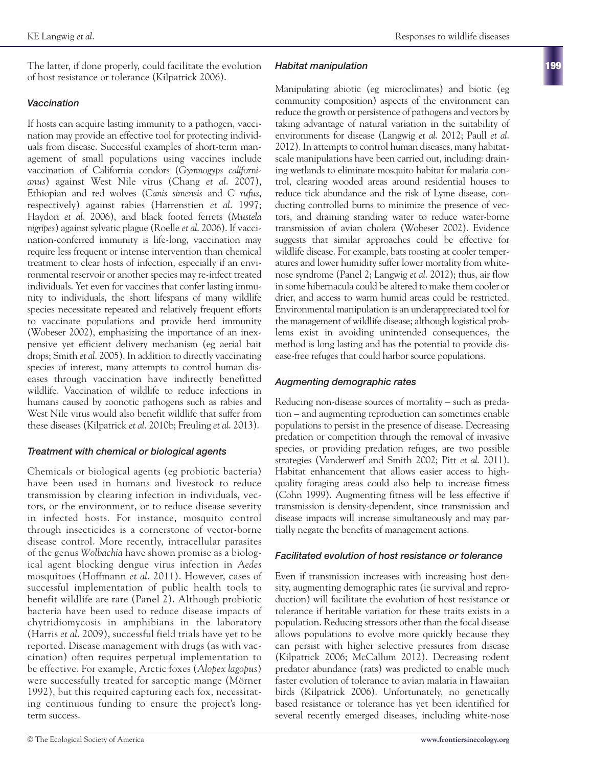The latter, if done properly, could facilitate the evolution of host resistance or tolerance (Kilpatrick 2006).

# *Vaccination*

If hosts can acquire lasting immunity to a pathogen, vaccination may provide an effective tool for protecting individuals from disease. Successful examples of short-term management of small populations using vaccines include vaccination of California condors (*Gymnogyps californianus*) against West Nile virus (Chang *et al*. 2007), Ethiopian and red wolves (*Canis simensis* and *C rufus*, respectively) against rabies (Harrenstien *et al*. 1997; Haydon *et al*. 2006), and black footed ferrets (*Mustela nigripes*) against sylvatic plague (Roelle *et al*. 2006). If vaccination-conferred immunity is life-long, vaccination may require less frequent or intense intervention than chemical treatment to clear hosts of infection, especially if an environmental reservoir or another species may re-infect treated individuals. Yet even for vaccines that confer lasting immunity to individuals, the short lifespans of many wildlife species necessitate repeated and relatively frequent efforts to vaccinate populations and provide herd immunity (Wobeser 2002), emphasizing the importance of an inexpensive yet efficient delivery mechanism (eg aerial bait drops; Smith *et al*. 2005). In addition to directly vaccinating species of interest, many attempts to control human diseases through vaccination have indirectly benefitted wildlife. Vaccination of wildlife to reduce infections in humans caused by zoonotic pathogens such as rabies and West Nile virus would also benefit wildlife that suffer from these diseases (Kilpatrick *et al*. 2010b; Freuling *et al*. 2013).

## *Treatment with chemical or biological agents*

Chemicals or biological agents (eg probiotic bacteria) have been used in humans and livestock to reduce transmission by clearing infection in individuals, vectors, or the environment, or to reduce disease severity in infected hosts. For instance, mosquito control through insecticides is a cornerstone of vector-borne disease control. More recently, intracellular parasites of the genus *Wolbachia* have shown promise as a biological agent blocking dengue virus infection in *Aedes* mosquitoes (Hoffmann *et al*. 2011). However, cases of successful implementation of public health tools to benefit wildlife are rare (Panel 2). Although probiotic bacteria have been used to reduce disease impacts of chytridiomycosis in amphibians in the laboratory (Harris *et al*. 2009), successful field trials have yet to be reported. Disease management with drugs (as with vaccination) often requires perpetual implementation to be effective. For example, Arctic foxes (*Alopex lagopus*) were successfully treated for sarcoptic mange (Mörner 1992), but this required capturing each fox, necessitating continuous funding to ensure the project's longterm success.

# *Habitat manipulation*

Manipulating abiotic (eg microclimates) and biotic (eg community composition) aspects of the environment can reduce the growth or persistence of pathogens and vectors by taking advantage of natural variation in the suitability of environments for disease (Langwig *et al*. 2012; Paull *et al*. 2012). In attempts to control human diseases, many habitatscale manipulations have been carried out, including: draining wetlands to eliminate mosquito habitat for malaria control, clearing wooded areas around residential houses to reduce tick abundance and the risk of Lyme disease, conducting controlled burns to minimize the presence of vectors, and draining standing water to reduce water-borne transmission of avian cholera (Wobeser 2002). Evidence suggests that similar approaches could be effective for wildlife disease. For example, bats roosting at cooler temperatures and lower humidity suffer lower mortality from whitenose syndrome (Panel 2; Langwig *et al*. 2012); thus, air flow in some hibernacula could be altered to make them cooler or drier, and access to warm humid areas could be restricted. Environmental manipulation is an underappreciated tool for the management of wildlife disease; although logistical problems exist in avoiding unintended consequences, the method is long lasting and has the potential to provide disease-free refuges that could harbor source populations.

# *Augmenting demographic rates*

Reducing non-disease sources of mortality – such as predation – and augmenting reproduction can sometimes enable populations to persist in the presence of disease. Decreasing predation or competition through the removal of invasive species, or providing predation refuges, are two possible strategies (Vanderwerf and Smith 2002; Pitt *et al*. 2011). Habitat enhancement that allows easier access to highquality foraging areas could also help to increase fitness (Cohn 1999). Augmenting fitness will be less effective if transmission is density-dependent, since transmission and disease impacts will increase simultaneously and may partially negate the benefits of management actions.

## *Facilitated evolution of host resistance or tolerance*

Even if transmission increases with increasing host density, augmenting demographic rates (ie survival and reproduction) will facilitate the evolution of host resistance or tolerance if heritable variation for these traits exists in a population. Reducing stressors other than the focal disease allows populations to evolve more quickly because they can persist with higher selective pressures from disease (Kilpatrick 2006; McCallum 2012). Decreasing rodent predator abundance (rats) was predicted to enable much faster evolution of tolerance to avian malaria in Hawaiian birds (Kilpatrick 2006). Unfortunately, no genetically based resistance or tolerance has yet been identified for several recently emerged diseases, including white-nose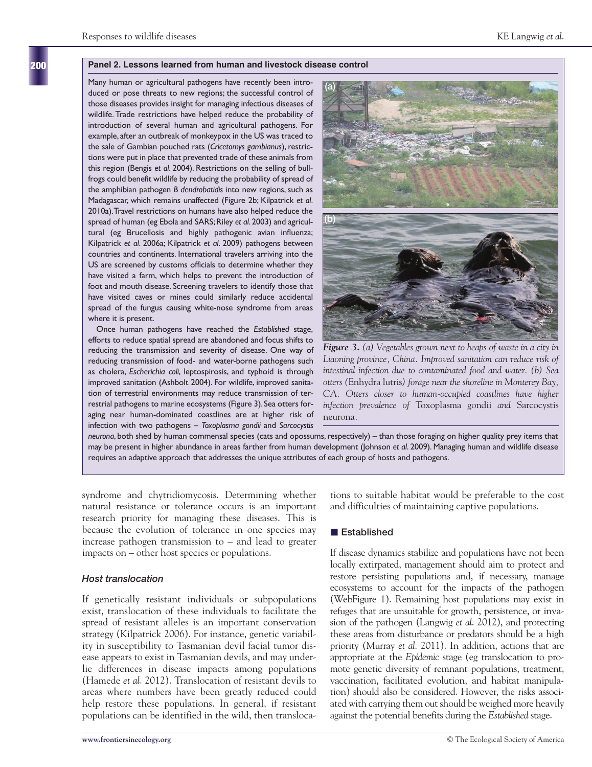#### **Panel 2. Lessons learned from human and livestock disease control**

Many human or agricultural pathogens have recently been introduced or pose threats to new regions; the successful control of those diseases provides insight for managing infectious diseases of wildlife. Trade restrictions have helped reduce the probability of introduction of several human and agricultural pathogens. For example, after an outbreak of monkeypox in the US was traced to the sale of Gambian pouched rats (*Cricetomys gambianus*), restrictions were put in place that prevented trade of these animals from this region (Bengis *et al*. 2004). Restrictions on the selling of bullfrogs could benefit wildlife by reducing the probability of spread of the amphibian pathogen *B dendrobatidis* into new regions, such as Madagascar, which remains unaffected (Figure 2b; Kilpatrick *et al*. 2010a). Travel restrictions on humans have also helped reduce the spread of human (eg Ebola and SARS; Riley *et al*. 2003) and agricultural (eg Brucellosis and highly pathogenic avian influenza; Kilpatrick *et al*. 2006a; Kilpatrick *et al*. 2009) pathogens between countries and continents. International travelers arriving into the US are screened by customs officials to determine whether they have visited a farm, which helps to prevent the introduction of foot and mouth disease. Screening travelers to identify those that have visited caves or mines could similarly reduce accidental spread of the fungus causing white-nose syndrome from areas where it is present.

Once human pathogens have reached the *Established* stage, efforts to reduce spatial spread are abandoned and focus shifts to reducing the transmission and severity of disease. One way of reducing transmission of food- and water-borne pathogens such as cholera, *Escherichia coli*, leptospirosis, and typhoid is through improved sanitation (Ashbolt 2004). For wildlife, improved sanitation of terrestrial environments may reduce transmission of terrestrial pathogens to marine ecosystems (Figure 3). Sea otters foraging near human-dominated coastlines are at higher risk of infection with two pathogens – *Toxoplasma gondii* and *Sarcocystis*



*Figure 3. (a) Vegetables grown next to heaps of waste in a city in Liaoning province, China. Improved sanitation can reduce risk of intestinal infection due to contaminated food and water. (b) Sea otters (*Enhydra lutris*) forage near the shoreline in Monterey Bay, CA. Otters closer to human-occupied coastlines have higher infection prevalence of* Toxoplasma gondii *and* Sarcocystis neurona*.*

*neurona*, both shed by human commensal species (cats and opossums, respectively) – than those foraging on higher quality prey items that may be present in higher abundance in areas farther from human development (Johnson *et al*. 2009). Managing human and wildlife disease requires an adaptive approach that addresses the unique attributes of each group of hosts and pathogens.

syndrome and chytridiomycosis. Determining whether natural resistance or tolerance occurs is an important research priority for managing these diseases. This is because the evolution of tolerance in one species may increase pathogen transmission to – and lead to greater impacts on – other host species or populations.

#### *Host translocation*

If genetically resistant individuals or subpopulations exist, translocation of these individuals to facilitate the spread of resistant alleles is an important conservation strategy (Kilpatrick 2006). For instance, genetic variability in susceptibility to Tasmanian devil facial tumor disease appears to exist in Tasmanian devils, and may underlie differences in disease impacts among populations (Hamede *et al*. 2012). Translocation of resistant devils to areas where numbers have been greatly reduced could help restore these populations. In general, if resistant populations can be identified in the wild, then translocations to suitable habitat would be preferable to the cost and difficulties of maintaining captive populations.

## $\blacksquare$  **Established**

If disease dynamics stabilize and populations have not been locally extirpated, management should aim to protect and restore persisting populations and, if necessary, manage ecosystems to account for the impacts of the pathogen (WebFigure 1). Remaining host populations may exist in refuges that are unsuitable for growth, persistence, or invasion of the pathogen (Langwig *et al*. 2012), and protecting these areas from disturbance or predators should be a high priority (Murray *et al*. 2011). In addition, actions that are appropriate at the *Epidemic* stage (eg translocation to promote genetic diversity of remnant populations, treatment, vaccination, facilitated evolution, and habitat manipulation) should also be considered. However, the risks associated with carrying them out should be weighed more heavily against the potential benefits during the *Established* stage.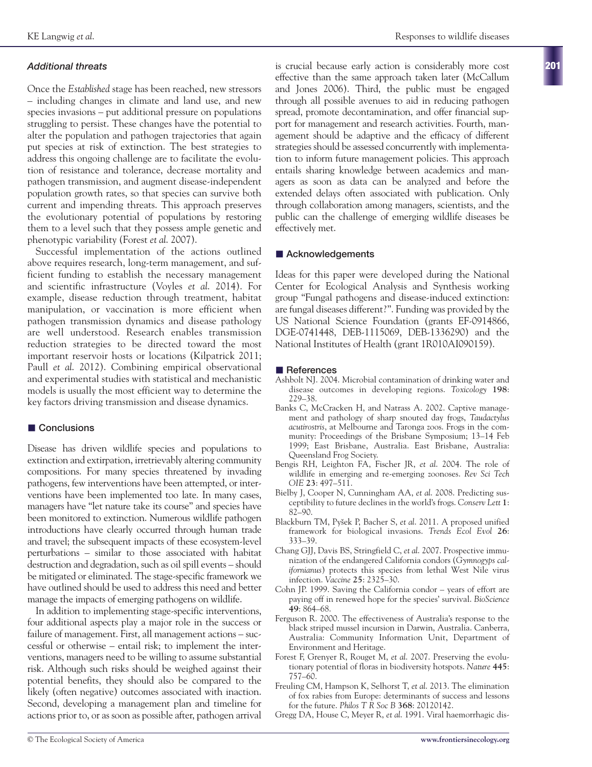#### *Additional threats*

Once the *Established* stage has been reached, new stressors – including changes in climate and land use, and new species invasions – put additional pressure on populations struggling to persist. These changes have the potential to alter the population and pathogen trajectories that again put species at risk of extinction. The best strategies to address this ongoing challenge are to facilitate the evolution of resistance and tolerance, decrease mortality and pathogen transmission, and augment disease-independent population growth rates, so that species can survive both current and impending threats. This approach preserves the evolutionary potential of populations by restoring them to a level such that they possess ample genetic and phenotypic variability (Forest *et al*. 2007).

Successful implementation of the actions outlined above requires research, long-term management, and sufficient funding to establish the necessary management and scientific infrastructure (Voyles *et al*. 2014). For example, disease reduction through treatment, habitat manipulation, or vaccination is more efficient when pathogen transmission dynamics and disease pathology are well understood. Research enables transmission reduction strategies to be directed toward the most important reservoir hosts or locations (Kilpatrick 2011; Paull *et al*. 2012). Combining empirical observational and experimental studies with statistical and mechanistic models is usually the most efficient way to determine the key factors driving transmission and disease dynamics.

#### **n** Conclusions

Disease has driven wildlife species and populations to extinction and extirpation, irretrievably altering community compositions. For many species threatened by invading pathogens, few interventions have been attempted, or interventions have been implemented too late. In many cases, managers have "let nature take its course" and species have been monitored to extinction. Numerous wildlife pathogen introductions have clearly occurred through human trade and travel; the subsequent impacts of these ecosystem-level perturbations – similar to those associated with habitat destruction and degradation, such as oil spill events – should be mitigated or eliminated. The stage-specific framework we have outlined should be used to address this need and better manage the impacts of emerging pathogens on wildlife.

In addition to implementing stage-specific interventions, four additional aspects play a major role in the success or failure of management. First, all management actions – successful or otherwise – entail risk; to implement the interventions, managers need to be willing to assume substantial risk. Although such risks should be weighed against their potential benefits, they should also be compared to the likely (often negative) outcomes associated with inaction. Second, developing a management plan and timeline for actions prior to, or as soon as possible after, pathogen arrival

is crucial because early action is considerably more cost effective than the same approach taken later (McCallum and Jones 2006). Third, the public must be engaged through all possible avenues to aid in reducing pathogen spread, promote decontamination, and offer financial support for management and research activities. Fourth, management should be adaptive and the efficacy of different strategies should be assessed concurrently with implementation to inform future management policies. This approach entails sharing knowledge between academics and managers as soon as data can be analyzed and before the extended delays often associated with publication. Only through collaboration among managers, scientists, and the public can the challenge of emerging wildlife diseases be

#### $\blacksquare$  **Acknowledgements**

effectively met.

Ideas for this paper were developed during the National Center for Ecological Analysis and Synthesis working group "Fungal pathogens and disease-induced extinction: are fungal diseases different?". Funding was provided by the US National Science Foundation (grants EF-0914866, DGE-0741448, DEB-1115069, DEB-1336290) and the National Institutes of Health (grant 1R010AI090159).

#### ■ References

- Ashbolt NJ. 2004. Microbial contamination of drinking water and disease outcomes in developing regions. *Toxicology* **198**: 229–38.
- Banks C, McCracken H, and Natrass A. 2002. Captive management and pathology of sharp snouted day frogs, *Taudactylus acutirostris*, at Melbourne and Taronga zoos. Frogs in the community: Proceedings of the Brisbane Symposium; 13–14 Feb 1999; East Brisbane, Australia. East Brisbane, Australia: Queensland Frog Society.
- Bengis RH, Leighton FA, Fischer JR, *et al*. 2004. The role of wildlife in emerging and re-emerging zoonoses. *Rev Sci Tech OIE* **23**: 497–511.
- Bielby J, Cooper N, Cunningham AA, *et al*. 2008. Predicting susceptibility to future declines in the world's frogs. *Conserv Lett* **1**: 82–90.
- Blackburn TM, Pyšek P, Bacher S, *et al*. 2011. A proposed unified framework for biological invasions. *Trends Ecol Evol* **26**: 333–39.
- Chang GJJ, Davis BS, Stringfield C, *et al*. 2007. Prospective immunization of the endangered California condors (*Gymnogyps californianus*) protects this species from lethal West Nile virus infection. *Vaccine* **25**: 2325–30.
- Cohn JP. 1999. Saving the California condor years of effort are paying off in renewed hope for the species' survival. *BioScience* **49**: 864–68.
- Ferguson R. 2000. The effectiveness of Australia's response to the black striped mussel incursion in Darwin, Australia. Canberra, Australia: Community Information Unit, Department of Environment and Heritage.
- Forest F, Grenyer R, Rouget M, *et al*. 2007. Preserving the evolutionary potential of floras in biodiversity hotspots. *Nature* **445**: 757–60.
- Freuling CM, Hampson K, Selhorst T, *et al*. 2013. The elimination of fox rabies from Europe: determinants of success and lessons for the future. *Philos T R Soc B* **368**: 20120142.

Gregg DA, House C, Meyer R, *et al*. 1991. Viral haemorrhagic dis-

**201**